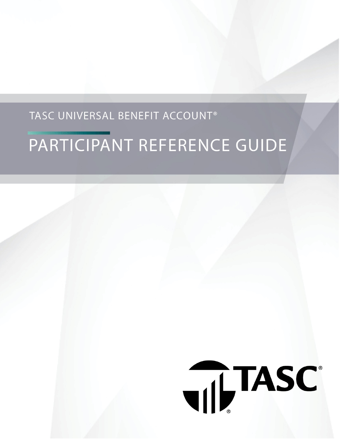# TASC UNIVERSAL BENEFIT ACCOUNT®

# PARTICIPANT REFERENCE GUIDE

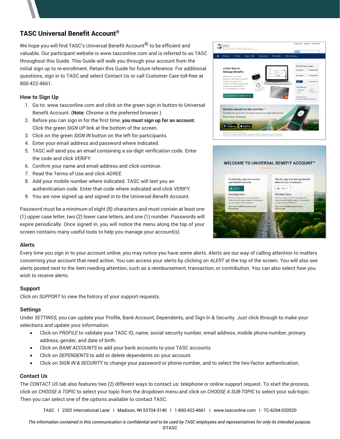# **TASC Universal Benefit Account®**

We hope you will find TASC's Universal Benefit Account<sup>®</sup> to be efficient and valuable. Our participant website is www.tasconline.com and is referred to as TASC throughout this Guide. This Guide will walk you through your account from the initial sign up to re-enrollment. Retain this Guide for future reference. For additional questions, sign in to TASC and select Contact Us or call Customer Care toll-free at 800-422-4661.

#### **How to Sign Up**

- 1. Go to: www.tasconline.com and click on the green sign in button to Universal Benefit Account. (**Note**: Chrome is the preferred browser.)
- 2. Before you can sign in for the first time, **you must sign up for an account**. Click the green *SIGN UP* link at the bottom of the screen.
- 3. Click on the green *SIGN IN* button on the left for participants.
- 4. Enter your email address and password where indicated.
- 5. TASC will send you an email containing a six-digit verification code. Enter the code and click *VERIFY*.
- 6. Confirm your name and email address and click continue.
- 7. Read the Terms of Use and click *AGREE*.
- 8. Add your mobile number where indicated. TASC will text you an authentication code. Enter that code where indicated and click *VERIFY*.
- 9. You are now signed up and signed in to the Universal Benefit Account.

Password must be a minimum of eight (8) characters and must contain at least one (1) upper case letter, two (2) lower case letters, and one (1) number. Passwords will expire periodically. Once signed in, you will notice the menu along the top of your screen contains many useful tools to help you manage your account(s).

#### **Alerts**

Every time you sign in to your account online, you may notice you have some alerts. Alerts are our way of calling attention to matters concerning your account that need action. You can access your alerts by clicking on *ALERT* at the top of the screen. You will also see alerts posted next to the item needing attention, such as a reimbursement, transaction, or contribution. You can also select how you wish to receive alerts.

#### **Support**

Click on *SUPPORT* to view the history of your support requests.

#### **Settings**

Under *SETTINGS*, you can update your Profile, Bank Account, Dependents, and Sign In & Security. Just click through to make your selections and update your information.

- Click on *PROFILE* to validate your TASC ID, name, social security number, email address, mobile phone number, primary address, gender, and date of birth.
- Click on *BANK ACCOUNTS* to add your bank accounts to your TASC accounts.
- Click on *DEPENDENTS* to add or delete dependents on your account.
- Click on *SIGN IN & SECURITY* to change your password or phone number, and to select the two-factor authentication.

#### **Contact Us**

The *CONTACT US* tab also features two (2) different ways to contact us: telephone or online support request. To start the process, click on *CHOOSE A TOPIC* to select your topic from the dropdown menu and click on *CHOOSE A SUB-TOPIC* to select your sub-topic. Then you can select one of the options available to contact TASC.

TASC I 2302 International Lane I Madison, WI 53704-3140 I 1-800-422-4661 I www.tasconline.com I TC-6264-020520



#### WELCOME TO UNIVERSAL BENEFIT ACCOUNT<sup>®</sup>

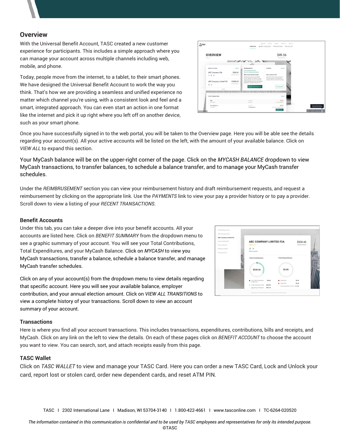#### **Overview**

With the Universal Benefit Account, TASC created a new customer experience for participants. This includes a simple approach where you can manage your account across multiple channels including web, mobile, and phone.

Today, people move from the internet, to a tablet, to their smart phones. We have designed the Universal Benefit Account to work the way you think. That's how we are providing a seamless and unified experience no matter which channel you're using, with a consistent look and feel and a smart, integrated approach. You can even start an action in one format like the internet and pick it up right where you left off on another device, such as your smart phone.



Once you have successfully signed in to the web portal, you will be taken to the Overview page. Here you will be able see the details regarding your account(s). All your active accounts will be listed on the left, with the amount of your available balance. Click on *VIEW ALL* to expand this section.

Your MyCash balance will be on the upper-right corner of the page. Click on the *MYCASH BALANCE* dropdown to view MyCash transactions, to transfer balances, to [schedule a balance transfer,](https://uba.tasconline.com/mycashtransferschedule) and to manage your MyCash [transfer](https://uba.tasconline.com/managecashschedule)  [schedules.](https://uba.tasconline.com/managecashschedule)

Under the *REIMBRUSEMENT* section you can view your reimbursement history and draft reimbursement requests, and request a reimbursement by clicking on the appropriate link. Use the *PAYMENTS* link to view your pay a provider history or to pay a provider. Scroll down to view a listing of your *RECENT TRANSACTIONS*.

#### **Benefit Accounts**

Under this tab, you can take a deeper dive into your benefit accounts. All your accounts are listed here. Click on *BENEFIT SUMMARY* from the dropdown menu to see a graphic summary of your account. You will see your Total Contributions, Total Expenditures, and your MyCash Balance. Click on *MYCASH* to view you MyCash transactions, transfer a balance, schedule a balance transfer, and manage MyCash transfer schedules.

Click on any of your account(s) from the dropdown menu to view details regarding that specific account. Here you will see your available balance, employer contribution, and your annual election amount. Click on *VIEW ALL TRANSITIONS* to view a complete history of your transactions. Scroll down to view an account summary of your account.

# ABC COMPANY LIMITED FSA \$538.46 \$538.46

#### **Transactions**

Here is where you find all your account transactions. This includes transactions, expenditures, contributions, bills and receipts, and MyCash. Click on any link on the left to view the details. On each of these pages click on *BENEFIT ACCOUNT* to choose the account you want to view. You can search, sort, and attach receipts easily from this page.

#### **TASC Wallet**

Click on *TASC WALLET* to view and manage your TASC Card. Here you can order a new TASC Card, Lock and Unlock your card, report lost or stolen card, order new dependent cards, and reset ATM PIN.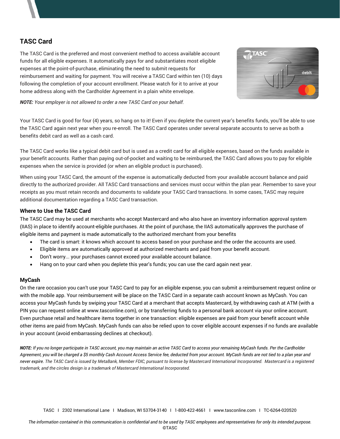# **TASC Card**

The TASC Card is the preferred and most convenient method to access available account funds for all eligible expenses. It automatically pays for and substantiates most eligible expenses at the point-of-purchase, eliminating the need to submit requests for reimbursement and waiting for payment. You will receive a TASC Card within ten (10) days following the completion of your account enrollment. Please watch for it to arrive at your home address along with the Cardholder Agreement in a plain white envelope.



*NOTE: Your employer is not allowed to order a new TASC Card on your behalf.*

Your TASC Card is good for four (4) years, so hang on to it! Even if you deplete the current year's benefits funds, you'll be able to use the TASC Card again next year when you re-enroll. The TASC Card operates under several separate accounts to serve as both a benefits debit card as well as a cash card.

The TASC Card works like a typical debit card but is used as a credit card for all eligible expenses, based on the funds available in your benefit accounts. Rather than paying out-of-pocket and waiting to be reimbursed, the TASC Card allows you to pay for eligible expenses when the service is provided (or when an eligible product is purchased).

When using your TASC Card, the amount of the expense is automatically deducted from your available account balance and paid directly to the authorized provider. All TASC Card transactions and services must occur within the plan year. Remember to save your receipts as you must retain records and documents to validate your TASC Card transactions. In some cases, TASC may require additional documentation regarding a TASC Card transaction.

#### **Where to Use the TASC Card**

The TASC Card may be used at merchants who accept Mastercard and who also have an inventory information approval system (IIAS) in place to identify account-eligible purchases. At the point of purchase, the IIAS automatically approves the purchase of eligible items and payment is made automatically to the authorized merchant from your benefits

- The card is smart: it knows which account to access based on your purchase and the order the accounts are used.
- Eligible items are automatically approved at authorized merchants and paid from your benefit account.
- Don't worry... your purchases cannot exceed your available account balance.
- Hang on to your card when you deplete this year's funds; you can use the card again next year.

#### **MyCash**

On the rare occasion you can't use your TASC Card to pay for an eligible expense, you can submit a reimbursement request online or with the mobile app. Your reimbursement will be place on the TASC Card in a separate cash account known as MyCash. You can access your MyCash funds by swiping your TASC Card at a merchant that accepts Mastercard, by withdrawing cash at ATM (with a PIN you can request online at www.tasconline.com), or by transferring funds to a personal bank account via your online account. Even purchase retail and healthcare items together in one transaction: eligible expenses are paid from your benefit account while other items are paid from MyCash. MyCash funds can also be relied upon to cover eligible account expenses if no funds are available in your account (avoid embarrassing declines at checkout).

*NOTE: If you no longer participate in TASC account, you may maintain an active TASC Card to access your remaining MyCash funds. Per the Cardholder Agreement, you will be charged a \$5 monthly Cash Account Access Service fee, deducted from your account. MyCash funds are not tied to a plan year and never expire. The TASC Card is issued by MetaBank, Member FDIC, pursuant to license by Mastercard International Incorporated. Mastercard is a registered trademark, and the circles design is a trademark of Mastercard International Incorporated.*

TASC I 2302 International Lane I Madison, WI 53704-3140 I 1-800-422-4661 I www.tasconline.com I TC-6264-020520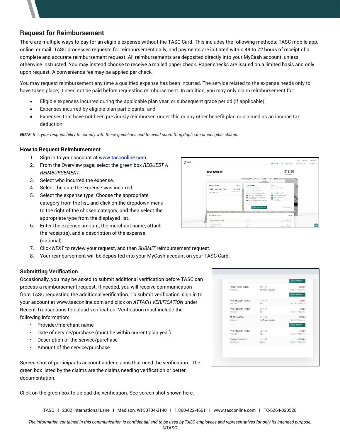# **Request for Reimbursement**

There are multiple ways to pay for an eligible expense without the TASC Card. This includes the following methods: TASC mobile app, online, or mail. TASC processes requests for reimbursement daily, and payments are initiated within 48 to 72 hours of receipt of a complete and accurate reimbursement request. All reimbursements are deposited directly into your MyCash account, unless otherwise instructed. You may instead choose to receive a mailed paper check. Paper checks are issued on a limited basis and only upon request. A convenience fee may be applied per check.

You may request reimbursement any time a qualified expense has been incurred. The service related to the expense needs only to have taken place; it need not be paid before requesting reimbursement. In addition, you may only claim reimbursement for:

- Eligible expenses incurred during the applicable plan year, or subsequent grace period (if applicable);
- Expenses incurred by eligible plan participants; and
- Expenses that have not been previously reimbursed under this or any other benefit plan or claimed as an income tax deduction.

*NOTE: It is your responsibility to comply with these guidelines and to avoid submitting duplicate or ineligible claims.*

#### **How to Request Reimbursement**

- 1. Sign in to your account at [www.tasconline.com.](http://www.tasconline.com/)
- 2. From the Overview page, select the green box *REQUEST A REIMBURSEMENT*.
- 3. Select who incurred the expense.
- 4. Select the date the expense was incurred.
- 5. Select the expense type. Choose the appropriate category from the list, and click on the dropdown menu to the right of the chosen category, and then select the appropriate type from the displayed list.
- 6. Enter the expense amount, the merchant name, attach the receipt(s), and a description of the expense (optional).
- 7. Click *NEXT* to review your request, and then *SUBMIT* reimbursement request.
- 8. Your reimbursement will be deposited into your MyCash account on your TASC Card.

#### **Submitting Verification**

Occasionally, you may be asked to submit additional verification before TASC can process a reimbursement request. If needed, you will receive communication from TASC requesting the additional verification. To submit verification, sign in to your account at www.tasconline.com and click on *ATTACH VERIFICATION* under Recent Transactions to upload verification. Verification must include the following information:

- Provider/merchant name
- Date of service/purchase (must be within current plan year)
- Description of the service/purchase
- Amount of the service/purchase

Screen shot of participants account under claims that need the verification. The green box listed by the claims are the claims needing verification or better documentation.

Click on the green box to upload the verification. See screen shot shown here.

| TASC Card                         | Verification Required             | $ $339.66$<br>TASC Healthcare FSA                          |
|-----------------------------------|-----------------------------------|------------------------------------------------------------|
| PARK NICOLLET 120002<br>TASC Card | 02/05/19<br>Paid                  | Attach Verification<br>$-$ \$25.00<br>TASC Healthcare FSA  |
| PARK NICOLLET 120002              | 01/30/19                          | $-$ \$25.00                                                |
| TASC Card                         | Paid                              | TASC Healthcare FSA                                        |
| DR DOUG VAYDA<br>TASC Card        | 01/22/19<br>Verification Required | $-$ \$297.00<br>TASC Healthcare FSA<br>Attach Verification |
| PARK NICOLLET 120002              | 12/12/18                          | $-$ \$25.00                                                |
| TASC Card                         | Paid                              | TASC Healthcare FSA                                        |
| <b>Employer Contribution</b>      | 11/21/18                          | $+$ \$500.00                                               |
| Contribution                      | Posted                            | TASC Healthcare FSA                                        |

TASC I 2302 International Lane I Madison, WI 53704-3140 I 1.800-422-4661 I www.tasconline.com I TC-6264-020520

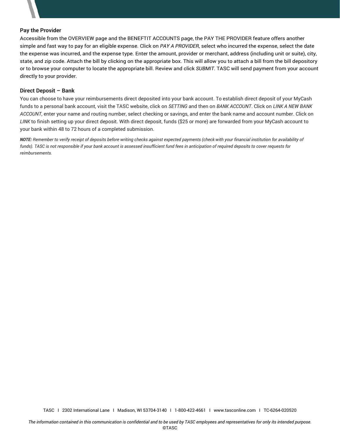#### **Pay the Provider**

Accessible from the OVERVIEW page and the BENEFTIT ACCOUNTS page, the PAY THE PROVIDER feature offers another simple and fast way to pay for an eligible expense. Click on *PAY A PROVIDER*, select who incurred the expense, select the date the expense was incurred, and the expense type. Enter the amount, provider or merchant, address (including unit or suite), city, state, and zip code. Attach the bill by clicking on the appropriate box. This will allow you to attach a bill from the bill depository or to browse your computer to locate the appropriate bill. Review and click *SUBMIT*. TASC will send payment from your account directly to your provider.

#### **Direct Deposit – Bank**

You can choose to have your reimbursements direct deposited into your bank account. To establish direct deposit of your MyCash funds to a personal bank account, visit the TASC website, click on *SETTING* and then on *BANK ACCOUNT*. Click on *LINK A NEW BANK ACCOUNT*, enter your name and routing number, select checking or savings, and enter the bank name and account number. Click on *LINK* to finish setting up your direct deposit. With direct deposit, funds (\$25 or more) are forwarded from your MyCash account to your bank within 48 to 72 hours of a completed submission.

*NOTE: Remember to verify receipt of deposits before writing checks against expected payments (check with your financial institution for availability of funds). TASC is not responsible if your bank account is assessed insufficient fund fees in anticipation of required deposits to cover requests for reimbursements.*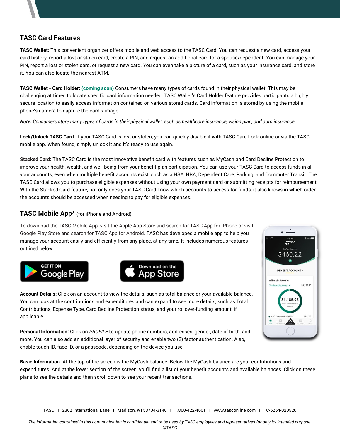# **TASC Card Features**

**TASC Wallet:** This convenient organizer offers mobile and web access to the TASC Card. You can request a new card, access your card history, report a lost or stolen card, create a PIN, and request an additional card for a spouse/dependent. You can manage your PIN, report a lost or stolen card, or request a new card. You can even take a picture of a card, such as your insurance card, and store it. You can also locate the nearest ATM.

**TASC Wallet - Card Holder: (coming soon)** Consumers have many types of cards found in their physical wallet. This may be challenging at times to locate specific card information needed. TASC Wallet's Card Holder feature provides participants a highly secure location to easily access information contained on various stored cards. Card information is stored by using the mobile phone's camera to capture the card's image.

*Note: Consumers store many types of cards in their physical wallet, such as healthcare insurance, vision plan, and auto insurance.*

**Lock/Unlock TASC Card:** If your TASC Card is lost or stolen, you can quickly disable it with TASC Card Lock online or via the TASC mobile app. When found, simply unlock it and it's ready to use again.

**Stacked Card:** The TASC Card is the most innovative benefit card with features such as MyCash and Card Decline Protection to improve your health, wealth, and well-being from your benefit plan participation. You can use your TASC Card to access funds in all your accounts, even when multiple benefit accounts exist, such as a HSA, HRA, Dependent Care, Parking, and Commuter Transit. The TASC Card allows you to purchase eligible expenses without using your own payment card or submitting receipts for reimbursement. With the Stacked Card feature, not only does your TASC Card know which accounts to access for funds, it also knows in which order the accounts should be accessed when needing to pay for eligible expenses.

### **TASC Mobile App\*** (for iPhone and Android)

To download the TASC Mobile App, visit the Apple App Store and search for TASC App for iPhone or visit Google Play Store and search for TASC App for Android. TASC has developed a mobile app to help you manage your account easily and efficiently from any place, at any time. It includes numerous features outlined below.







**Account Details:** Click on an account to view the details, such as total balance or your available balance. You can look at the contributions and expenditures and can expand to see more details, such as Total Contributions, Expense Type, Card Decline Protection status, and your rollover-funding amount, if applicable.

**Personal Information:** Click on *PROFILE* to update phone numbers, addresses, gender, date of birth, and more. You can also add an additional layer of security and enable two (2) factor authentication. Also, enable touch ID, face ID, or a passcode, depending on the device you use.

**Basic Information:** At the top of the screen is the MyCash balance. Below the MyCash balance are your contributions and expenditures. And at the lower section of the screen, you'll find a list of your benefit accounts and available balances. Click on these plans to see the details and then scroll down to see your recent transactions.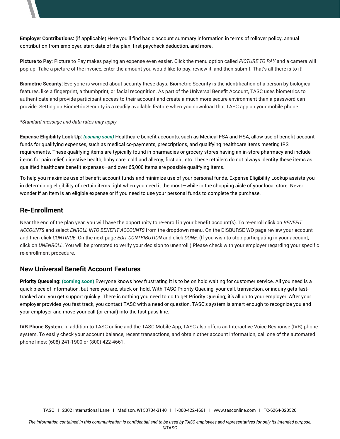**Employer Contributions:** (if applicable) Here you'll find basic account summary information in terms of rollover policy, annual contribution from employer, start date of the plan, first paycheck deduction, and more.

**Picture to Pay**: Picture to Pay makes paying an expense even easier. Click the menu option called *PICTURE TO PAY* and a camera will pop up. Take a picture of the invoice, enter the amount you would like to pay, review it, and then submit. That's all there is to it!

**Biometric Security:** Everyone is worried about security these days. Biometric Security is the identification of a person by biological features, like a fingerprint, a thumbprint, or facial recognition. As part of the Universal Benefit Account, TASC uses biometrics to authenticate and provide participant access to their account and create a much more secure environment than a password can provide. Setting up Biometric Security is a readily available feature when you download that TASC app on your mobile phone.

#### *\*Standard message and data rates may apply.*

**Expense Eligibility Look Up:** *(coming soon)* Healthcare benefit accounts, such as Medical FSA and HSA, allow use of benefit account funds for qualifying expenses, such as medical co-payments, prescriptions, and qualifying healthcare items meeting IRS requirements. These qualifying items are typically found in pharmacies or grocery stores having an in-store pharmacy and include items for pain relief, digestive health, baby care, cold and allergy, first aid, etc. These retailers do not always identity these items as qualified healthcare benefit expenses—and over 65,000 items are possible qualifying items.

To help you maximize use of benefit account funds and minimize use of your personal funds, Expense Eligibility Lookup assists you in determining eligibility of certain items right when you need it the most—while in the shopping aisle of your local store. Never wonder if an item is an eligible expense or if you need to use your personal funds to complete the purchase.

## **Re-Enrollment**

Near the end of the plan year, you will have the opportunity to re-enroll in your benefit account(s). To re-enroll click on *BENEFIT ACCOUNTS* and select *ENROLL INTO BENEFIT ACCOUNTS* from the dropdown menu. On the DISBURSE WO page review your account and then click *CONTINUE*. On the next page *EDIT CONTRIBUTION* and click *DONE*. (If you wish to stop participating in your account, click on *UNENROLL*. You will be prompted to verify your decision to unenroll.) Please check with your employer regarding your specific re-enrollment procedure.

### **New Universal Benefit Account Features**

**Priority Queueing: (coming soon)** Everyone knows how frustrating it is to be on hold waiting for customer service. All you need is a quick piece of information, but here you are, stuck on hold. With TASC Priority Queuing, your call, transaction, or inquiry gets fasttracked and you get support quickly. There is nothing you need to do to get Priority Queuing; it's all up to your employer. After your employer provides you fast track, you contact TASC with a need or question. TASC's system is smart enough to recognize you and your employer and move your call (or email) into the fast pass line.

**IVR Phone System**: In addition to TASC online and the TASC Mobile App, TASC also offers an Interactive Voice Response (IVR) phone system. To easily check your account balance, recent transactions, and obtain other account information, call one of the automated phone lines: (608) 241-1900 or (800) 422-4661.